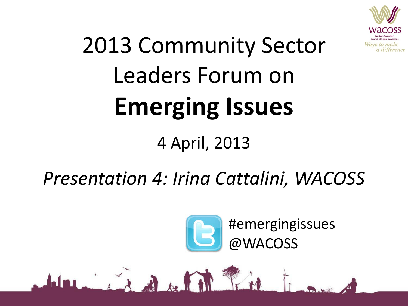

# 2013 Community Sector Leaders Forum on **Emerging Issues**

#### 4 April, 2013

### *Presentation 4: Irina Cattalini, WACOSS*

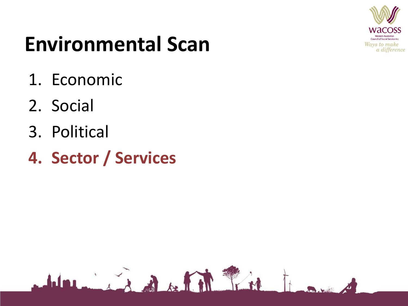

## **Environmental Scan**

- 1. Economic
- 2. Social
- 3. Political
- **4. Sector / Services**

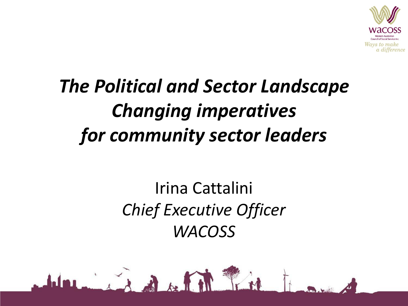

### *The Political and Sector Landscape Changing imperatives for community sector leaders*

#### Irina Cattalini *Chief Executive Officer WACOSS*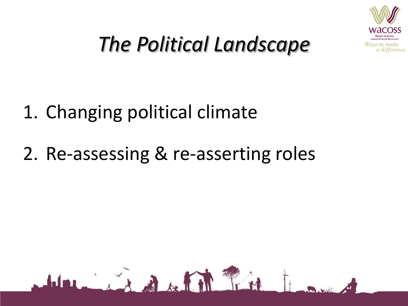

## *The Political Landscape*

### 1. Changing political climate

### 2. Re-assessing & re-asserting roles

Administration of the first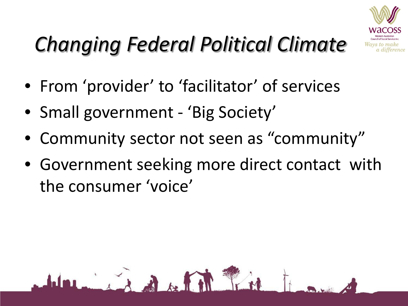

## *Changing Federal Political Climate*

- From 'provider' to 'facilitator' of services
- Small government 'Big Society'

A A de l'est

- Community sector not seen as "community"
- Government seeking more direct contact with the consumer 'voice'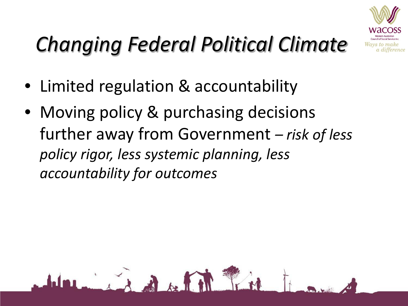

## *Changing Federal Political Climate*

• Limited regulation & accountability

• Moving policy & purchasing decisions further away from Government *– risk of less policy rigor, less systemic planning, less accountability for outcomes*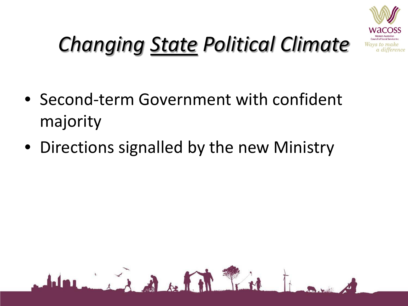

## *Changing State Political Climate*

- Second-term Government with confident majority
- Directions signalled by the new Ministry

11 That is a fifth fine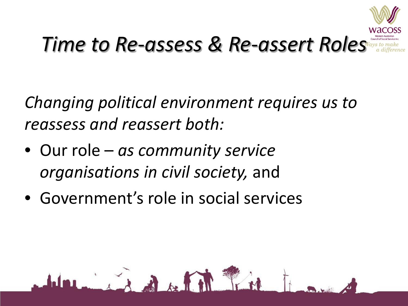

## *Time to Re-assess & Re-assert Roles*

*Changing political environment requires us to reassess and reassert both:*

• Our role – *as community service organisations in civil society,* and

him is a soft of

• Government's role in social services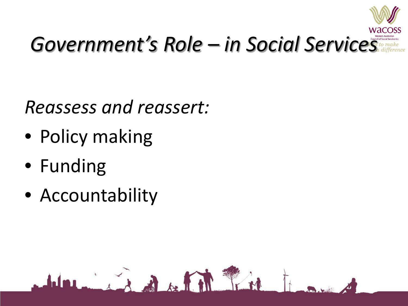

## *Government's Role – in Social Services*

*Reassess and reassert:*

him is a fill

- Policy making
- Funding
- Accountability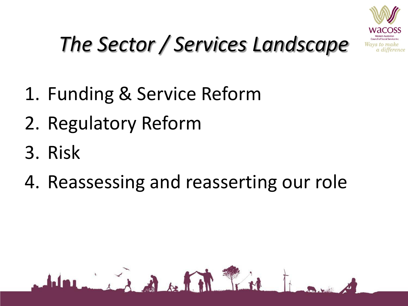

## *The Sector / Services Landscape*

- 1. Funding & Service Reform
- 2. Regulatory Reform
- 3. Risk
- 4. Reassessing and reasserting our role

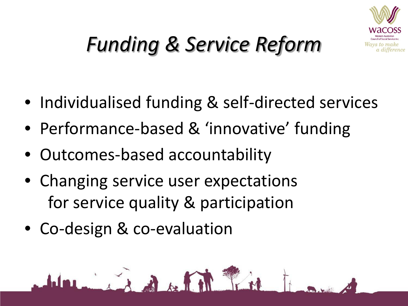

## *Funding & Service Reform*

- Individualised funding & self-directed services
- Performance-based & 'innovative' funding
- Outcomes-based accountability
- Changing service user expectations for service quality & participation

• Co-design & co-evaluation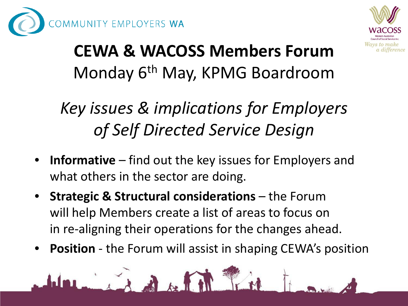



### **CEWA & WACOSS Members Forum** Monday 6<sup>th</sup> May, KPMG Boardroom

### *Key issues & implications for Employers of Self Directed Service Design*

- **Informative** find out the key issues for Employers and what others in the sector are doing.
- **Strategic & Structural considerations**  the Forum will help Members create a list of areas to focus on in re-aligning their operations for the changes ahead.
- **Position** the Forum will assist in shaping CEWA's position

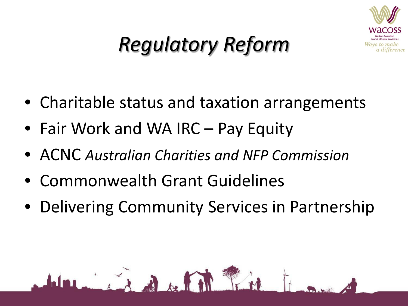

## *Regulatory Reform*

- Charitable status and taxation arrangements
- Fair Work and WA IRC Pay Equity
- ACNC *Australian Charities and NFP Commission*
- Commonwealth Grant Guidelines

Mr. The Company

• Delivering Community Services in Partnership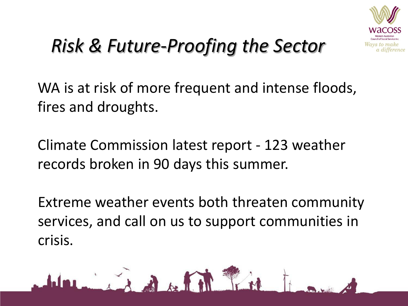

### *Risk & Future-Proofing the Sector*

WA is at risk of more frequent and intense floods, fires and droughts.

Climate Commission latest report - 123 weather records broken in 90 days this summer.

Extreme weather events both threaten community services, and call on us to support communities in crisis.

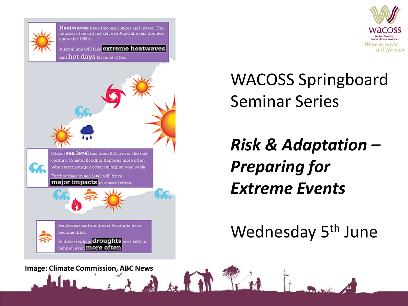

Heatwaves have become longer and hotter. The number of record hot days in Australia has doubled since the 1960s.

Australians will face **extreme heatwaves** 

and hot days far more often.





WACOSS Springboard Seminar Series

*Risk & Adaptation – Preparing for Extreme Events*

#### Wednesday 5<sup>th</sup> June

**Image: Climate Commission, ABC News**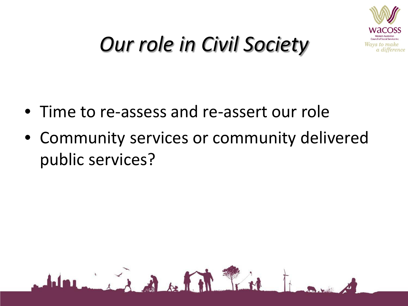

### *Our role in Civil Society*

• Time to re-assess and re-assert our role

him in A A fill the

• Community services or community delivered public services?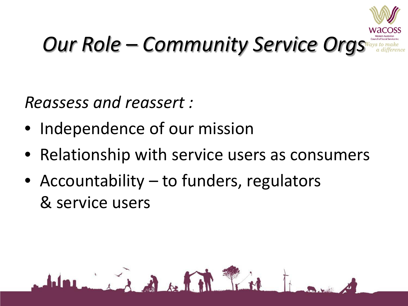

## *Our Role – Community Service Orgs*

*Reassess and reassert :*

- Independence of our mission
- Relationship with service users as consumers
- Accountability to funders, regulators & service users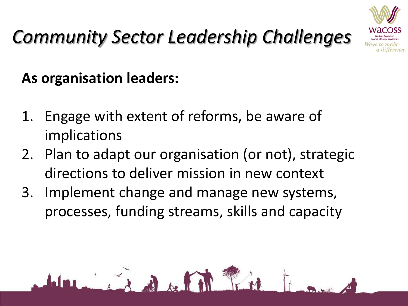## *Community Sector Leadership Challenges*



**As organisation leaders:**

- 1. Engage with extent of reforms, be aware of implications
- 2. Plan to adapt our organisation (or not), strategic directions to deliver mission in new context
- 3. Implement change and manage new systems, processes, funding streams, skills and capacity